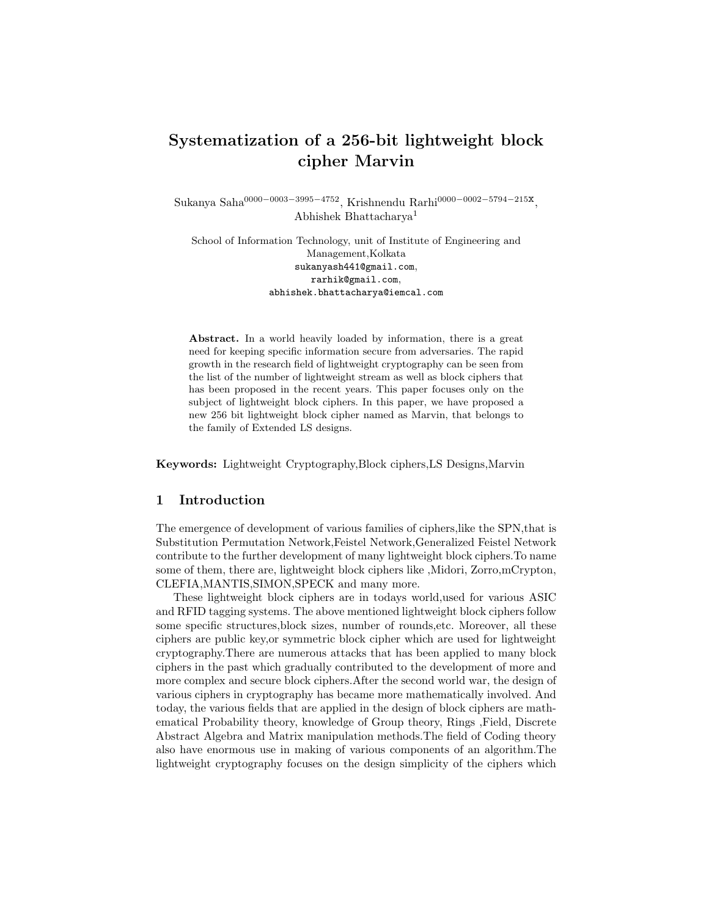# Systematization of a 256-bit lightweight block cipher Marvin

Sukanya Saha0000−0003−3995−4752, Krishnendu Rarhi0000−0002−5794−215x, Abhishek Bhattacharya<sup>1</sup>

School of Information Technology, unit of Institute of Engineering and Management,Kolkata sukanyash441@gmail.com, rarhik@gmail.com, abhishek.bhattacharya@iemcal.com

Abstract. In a world heavily loaded by information, there is a great need for keeping specific information secure from adversaries. The rapid growth in the research field of lightweight cryptography can be seen from the list of the number of lightweight stream as well as block ciphers that has been proposed in the recent years. This paper focuses only on the subject of lightweight block ciphers. In this paper, we have proposed a new 256 bit lightweight block cipher named as Marvin, that belongs to the family of Extended LS designs.

Keywords: Lightweight Cryptography,Block ciphers,LS Designs,Marvin

### 1 Introduction

The emergence of development of various families of ciphers,like the SPN,that is Substitution Permutation Network,Feistel Network,Generalized Feistel Network contribute to the further development of many lightweight block ciphers.To name some of them, there are, lightweight block ciphers like ,Midori, Zorro,mCrypton, CLEFIA,MANTIS,SIMON,SPECK and many more.

These lightweight block ciphers are in todays world,used for various ASIC and RFID tagging systems. The above mentioned lightweight block ciphers follow some specific structures,block sizes, number of rounds,etc. Moreover, all these ciphers are public key,or symmetric block cipher which are used for lightweight cryptography.There are numerous attacks that has been applied to many block ciphers in the past which gradually contributed to the development of more and more complex and secure block ciphers.After the second world war, the design of various ciphers in cryptography has became more mathematically involved. And today, the various fields that are applied in the design of block ciphers are mathematical Probability theory, knowledge of Group theory, Rings ,Field, Discrete Abstract Algebra and Matrix manipulation methods.The field of Coding theory also have enormous use in making of various components of an algorithm.The lightweight cryptography focuses on the design simplicity of the ciphers which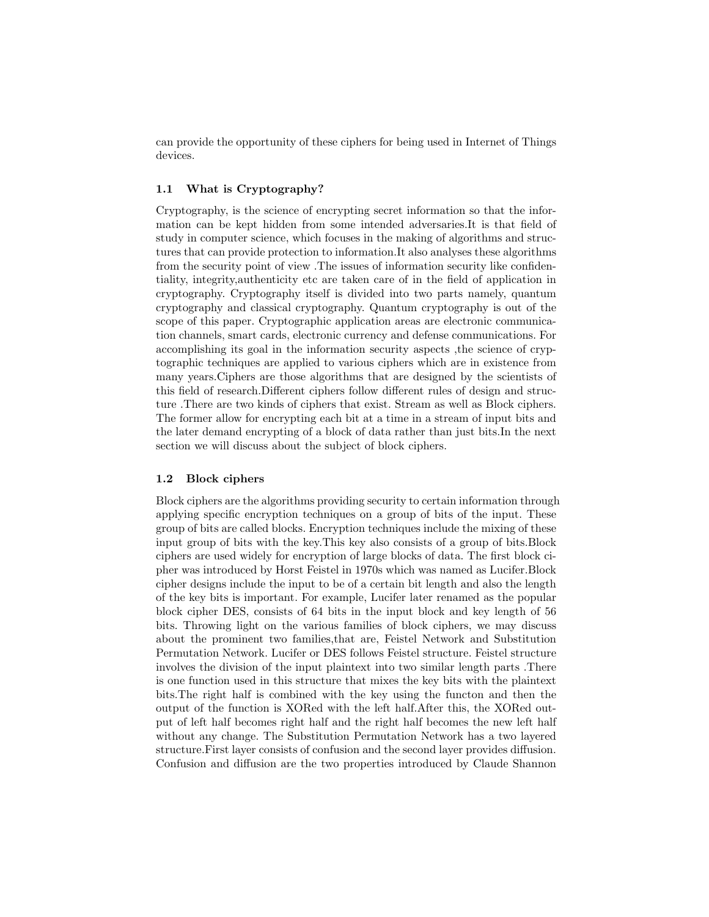can provide the opportunity of these ciphers for being used in Internet of Things devices.

## 1.1 What is Cryptography?

Cryptography, is the science of encrypting secret information so that the information can be kept hidden from some intended adversaries.It is that field of study in computer science, which focuses in the making of algorithms and structures that can provide protection to information.It also analyses these algorithms from the security point of view .The issues of information security like confidentiality, integrity,authenticity etc are taken care of in the field of application in cryptography. Cryptography itself is divided into two parts namely, quantum cryptography and classical cryptography. Quantum cryptography is out of the scope of this paper. Cryptographic application areas are electronic communication channels, smart cards, electronic currency and defense communications. For accomplishing its goal in the information security aspects ,the science of cryptographic techniques are applied to various ciphers which are in existence from many years.Ciphers are those algorithms that are designed by the scientists of this field of research.Different ciphers follow different rules of design and structure .There are two kinds of ciphers that exist. Stream as well as Block ciphers. The former allow for encrypting each bit at a time in a stream of input bits and the later demand encrypting of a block of data rather than just bits.In the next section we will discuss about the subject of block ciphers.

### 1.2 Block ciphers

Block ciphers are the algorithms providing security to certain information through applying specific encryption techniques on a group of bits of the input. These group of bits are called blocks. Encryption techniques include the mixing of these input group of bits with the key.This key also consists of a group of bits.Block ciphers are used widely for encryption of large blocks of data. The first block cipher was introduced by Horst Feistel in 1970s which was named as Lucifer.Block cipher designs include the input to be of a certain bit length and also the length of the key bits is important. For example, Lucifer later renamed as the popular block cipher DES, consists of 64 bits in the input block and key length of 56 bits. Throwing light on the various families of block ciphers, we may discuss about the prominent two families,that are, Feistel Network and Substitution Permutation Network. Lucifer or DES follows Feistel structure. Feistel structure involves the division of the input plaintext into two similar length parts .There is one function used in this structure that mixes the key bits with the plaintext bits.The right half is combined with the key using the functon and then the output of the function is XORed with the left half.After this, the XORed output of left half becomes right half and the right half becomes the new left half without any change. The Substitution Permutation Network has a two layered structure.First layer consists of confusion and the second layer provides diffusion. Confusion and diffusion are the two properties introduced by Claude Shannon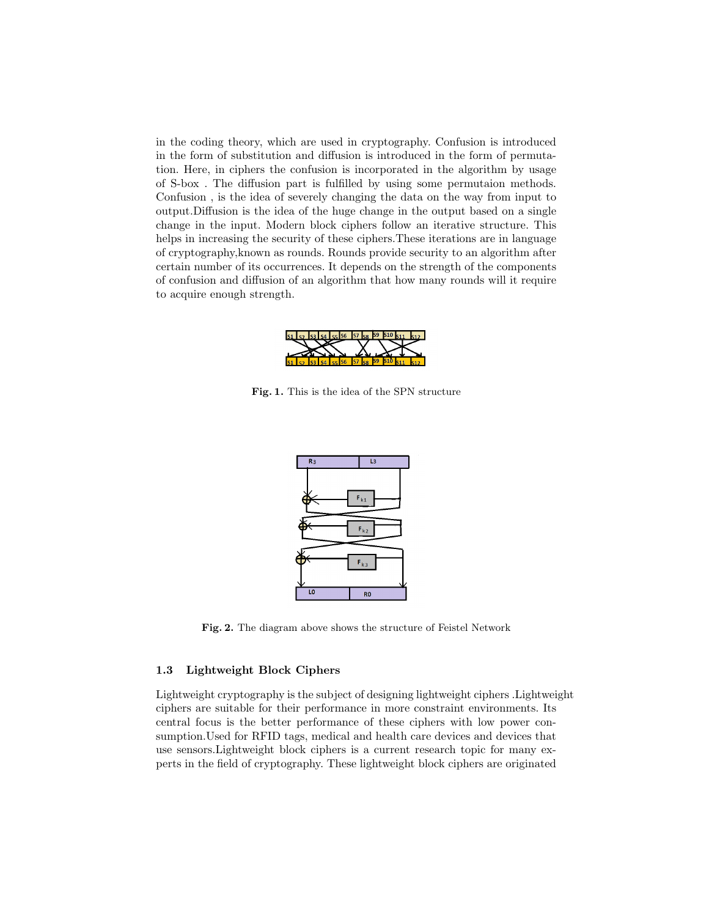in the coding theory, which are used in cryptography. Confusion is introduced in the form of substitution and diffusion is introduced in the form of permutation. Here, in ciphers the confusion is incorporated in the algorithm by usage of S-box . The diffusion part is fulfilled by using some permutaion methods. Confusion , is the idea of severely changing the data on the way from input to output.Diffusion is the idea of the huge change in the output based on a single change in the input. Modern block ciphers follow an iterative structure. This helps in increasing the security of these ciphers.These iterations are in language of cryptography,known as rounds. Rounds provide security to an algorithm after certain number of its occurrences. It depends on the strength of the components of confusion and diffusion of an algorithm that how many rounds will it require to acquire enough strength.



Fig. 1. This is the idea of the SPN structure



Fig. 2. The diagram above shows the structure of Feistel Network

## 1.3 Lightweight Block Ciphers

Lightweight cryptography is the subject of designing lightweight ciphers .Lightweight ciphers are suitable for their performance in more constraint environments. Its central focus is the better performance of these ciphers with low power consumption.Used for RFID tags, medical and health care devices and devices that use sensors.Lightweight block ciphers is a current research topic for many experts in the field of cryptography. These lightweight block ciphers are originated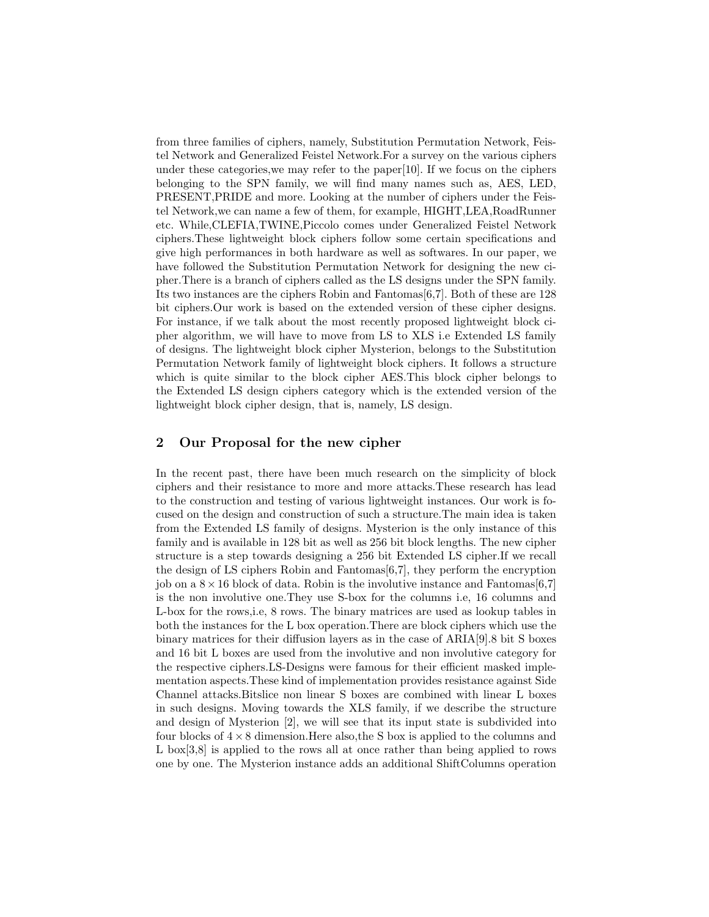from three families of ciphers, namely, Substitution Permutation Network, Feistel Network and Generalized Feistel Network.For a survey on the various ciphers under these categories,we may refer to the paper[10]. If we focus on the ciphers belonging to the SPN family, we will find many names such as, AES, LED, PRESENT,PRIDE and more. Looking at the number of ciphers under the Feistel Network,we can name a few of them, for example, HIGHT,LEA,RoadRunner etc. While,CLEFIA,TWINE,Piccolo comes under Generalized Feistel Network ciphers.These lightweight block ciphers follow some certain specifications and give high performances in both hardware as well as softwares. In our paper, we have followed the Substitution Permutation Network for designing the new cipher.There is a branch of ciphers called as the LS designs under the SPN family. Its two instances are the ciphers Robin and Fantomas[6,7]. Both of these are 128 bit ciphers.Our work is based on the extended version of these cipher designs. For instance, if we talk about the most recently proposed lightweight block cipher algorithm, we will have to move from LS to XLS i.e Extended LS family of designs. The lightweight block cipher Mysterion, belongs to the Substitution Permutation Network family of lightweight block ciphers. It follows a structure which is quite similar to the block cipher AES.This block cipher belongs to the Extended LS design ciphers category which is the extended version of the lightweight block cipher design, that is, namely, LS design.

# 2 Our Proposal for the new cipher

In the recent past, there have been much research on the simplicity of block ciphers and their resistance to more and more attacks.These research has lead to the construction and testing of various lightweight instances. Our work is focused on the design and construction of such a structure.The main idea is taken from the Extended LS family of designs. Mysterion is the only instance of this family and is available in 128 bit as well as 256 bit block lengths. The new cipher structure is a step towards designing a 256 bit Extended LS cipher.If we recall the design of LS ciphers Robin and Fantomas[6,7], they perform the encryption job on a  $8 \times 16$  block of data. Robin is the involutive instance and Fantomas [6,7] is the non involutive one.They use S-box for the columns i.e, 16 columns and L-box for the rows,i.e, 8 rows. The binary matrices are used as lookup tables in both the instances for the L box operation.There are block ciphers which use the binary matrices for their diffusion layers as in the case of ARIA[9].8 bit S boxes and 16 bit L boxes are used from the involutive and non involutive category for the respective ciphers.LS-Designs were famous for their efficient masked implementation aspects.These kind of implementation provides resistance against Side Channel attacks.Bitslice non linear S boxes are combined with linear L boxes in such designs. Moving towards the XLS family, if we describe the structure and design of Mysterion [2], we will see that its input state is subdivided into four blocks of  $4 \times 8$  dimension. Here also, the S box is applied to the columns and L box[3,8] is applied to the rows all at once rather than being applied to rows one by one. The Mysterion instance adds an additional ShiftColumns operation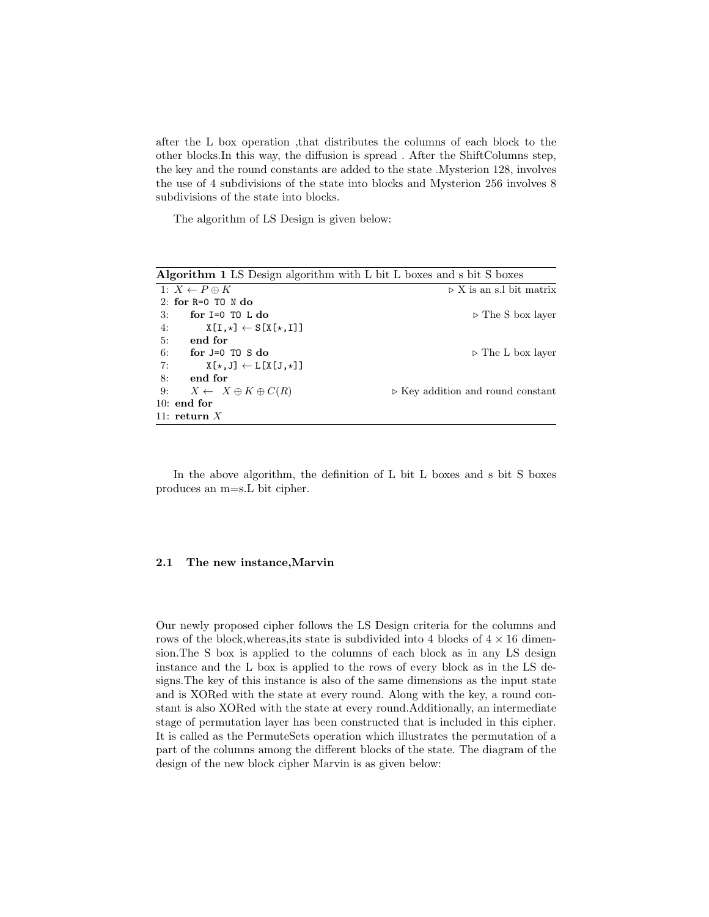after the L box operation ,that distributes the columns of each block to the other blocks.In this way, the diffusion is spread . After the ShiftColumns step, the key and the round constants are added to the state .Mysterion 128, involves the use of 4 subdivisions of the state into blocks and Mysterion 256 involves 8 subdivisions of the state into blocks.

The algorithm of LS Design is given below:

| <b>Algorithm 1</b> LS Design algorithm with L bit L boxes and s bit S boxes |                                                  |
|-----------------------------------------------------------------------------|--------------------------------------------------|
| 1: $X \leftarrow P \oplus K$                                                | $\triangleright$ X is an s.l bit matrix          |
| 2: for $R=0$ TO N do                                                        |                                                  |
| for $I=0$ TO L do<br>3:                                                     | $\triangleright$ The S box layer                 |
| 4:<br>$X[I, \star] \leftarrow S[X[\star, I]]$                               |                                                  |
| 5:<br>end for                                                               |                                                  |
| 6:<br>for $J=0$ TO S do                                                     | $\triangleright$ The L box layer                 |
| 7:<br>$X[\star, J] \leftarrow L[X[J, \star]]$                               |                                                  |
| 8:<br>end for                                                               |                                                  |
| $X \leftarrow X \oplus K \oplus C(R)$<br>9:                                 | $\triangleright$ Key addition and round constant |
| $10:$ end for                                                               |                                                  |
| 11: return $X$                                                              |                                                  |

In the above algorithm, the definition of L bit L boxes and s bit S boxes produces an m=s.L bit cipher.

#### 2.1 The new instance,Marvin

Our newly proposed cipher follows the LS Design criteria for the columns and rows of the block, whereas, its state is subdivided into 4 blocks of  $4 \times 16$  dimension.The S box is applied to the columns of each block as in any LS design instance and the L box is applied to the rows of every block as in the LS designs.The key of this instance is also of the same dimensions as the input state and is XORed with the state at every round. Along with the key, a round constant is also XORed with the state at every round.Additionally, an intermediate stage of permutation layer has been constructed that is included in this cipher. It is called as the PermuteSets operation which illustrates the permutation of a part of the columns among the different blocks of the state. The diagram of the design of the new block cipher Marvin is as given below: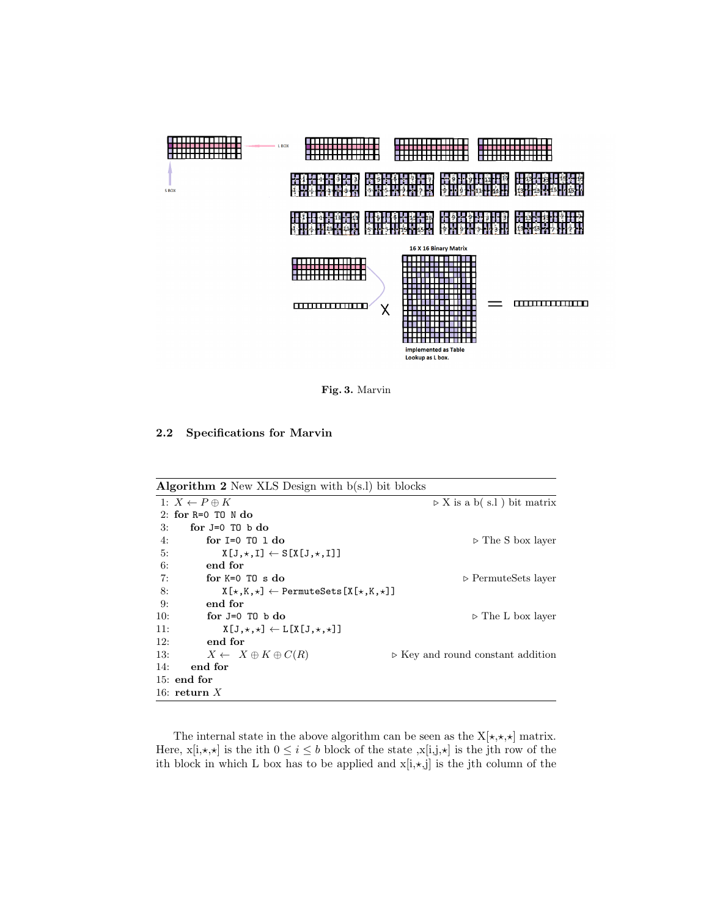

Fig. 3. Marvin

# 2.2 Specifications for Marvin

| <b>Algorithm 2</b> New XLS Design with $b(s,l)$ bit blocks |                                                                |                                                  |  |
|------------------------------------------------------------|----------------------------------------------------------------|--------------------------------------------------|--|
|                                                            | 1: $X \leftarrow P \oplus K$                                   | $\triangleright$ X is a b(s.1) bit matrix        |  |
|                                                            | 2: for $R=0$ TO N do                                           |                                                  |  |
| 3:                                                         | for $J=0$ TO b do                                              |                                                  |  |
| 4:                                                         | for $I=0$ T $0$ 1 do                                           | $\triangleright$ The S box layer                 |  |
| 5:                                                         | $X[J, \star, I] \leftarrow S[X[J, \star, I]]$                  |                                                  |  |
| 6:                                                         | end for                                                        |                                                  |  |
| 7:                                                         | for $K=0$ TO s do                                              | $\triangleright$ PermuteSets layer               |  |
| 8:                                                         | $X[\star,K,\star] \leftarrow$ PermuteSets $[X[\star,K,\star]]$ |                                                  |  |
| 9:                                                         | end for                                                        |                                                  |  |
| 10:                                                        | for $J=0$ TO b do                                              | $\triangleright$ The L box layer                 |  |
| 11:                                                        | $X[J, \star, \star] \leftarrow L[X[J, \star, \star]]$          |                                                  |  |
| 12:                                                        | end for                                                        |                                                  |  |
| 13:                                                        | $X \leftarrow X \oplus K \oplus C(R)$                          | $\triangleright$ Key and round constant addition |  |
| 14:                                                        | end for                                                        |                                                  |  |
|                                                            | $15:$ end for                                                  |                                                  |  |
|                                                            | 16: return $X$                                                 |                                                  |  |

The internal state in the above algorithm can be seen as the  $X[\star,\star,\star]$  matrix. Here,  $x[i, \star, \star]$  is the ith  $0 \le i \le b$  block of the state  $x[i, j, \star]$  is the jth row of the ith block in which L box has to be applied and  $x[i, \star, j]$  is the jth column of the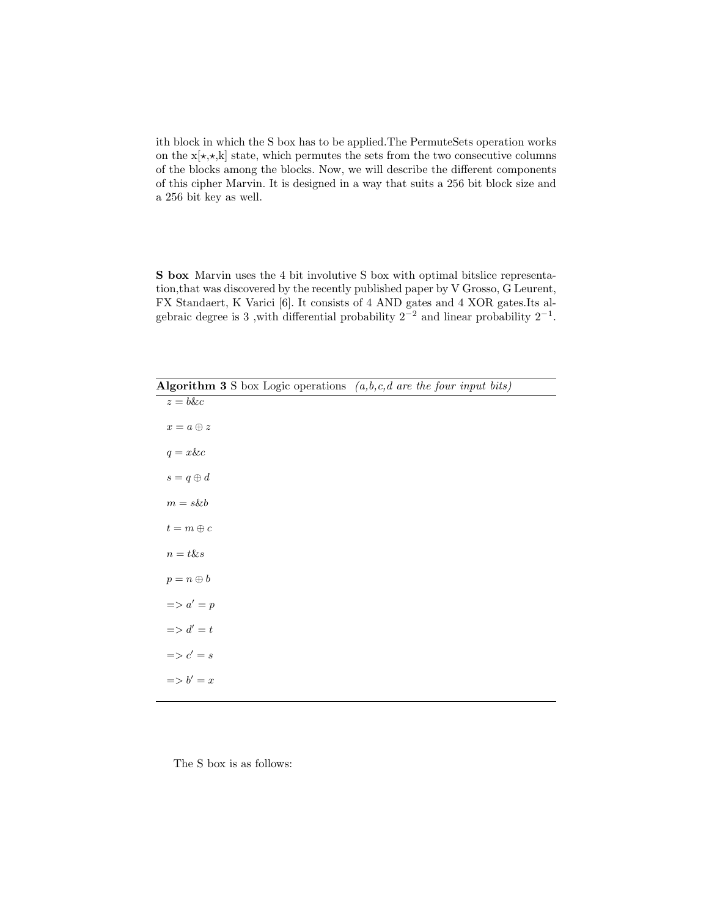ith block in which the S box has to be applied.The PermuteSets operation works on the  $x[\star,\star,k]$  state, which permutes the sets from the two consecutive columns of the blocks among the blocks. Now, we will describe the different components of this cipher Marvin. It is designed in a way that suits a 256 bit block size and a 256 bit key as well.

S box Marvin uses the 4 bit involutive S box with optimal bitslice representation,that was discovered by the recently published paper by V Grosso, G Leurent, FX Standaert, K Varici [6]. It consists of 4 AND gates and 4 XOR gates.Its algebraic degree is 3, with differential probability  $2^{-2}$  and linear probability  $2^{-1}$ .

| <b>Algorithm 3</b> S box Logic operations $(a, b, c, d$ are the four input bits) |  |
|----------------------------------------------------------------------------------|--|
| $z=b\&c$                                                                         |  |
| $x = a \oplus z$                                                                 |  |
| $q = x \& c$                                                                     |  |
| $s = q \oplus d$                                                                 |  |
| $m = s \& b$                                                                     |  |
| $t=m\oplus c$                                                                    |  |
| $n = t \& s$                                                                     |  |
| $p = n \oplus b$                                                                 |  |
| $\Rightarrow a' = p$                                                             |  |
| $\Rightarrow d' = t$                                                             |  |
| $\Rightarrow$ $c' = s$                                                           |  |
| $\Rightarrow b' = x$                                                             |  |

The S box is as follows: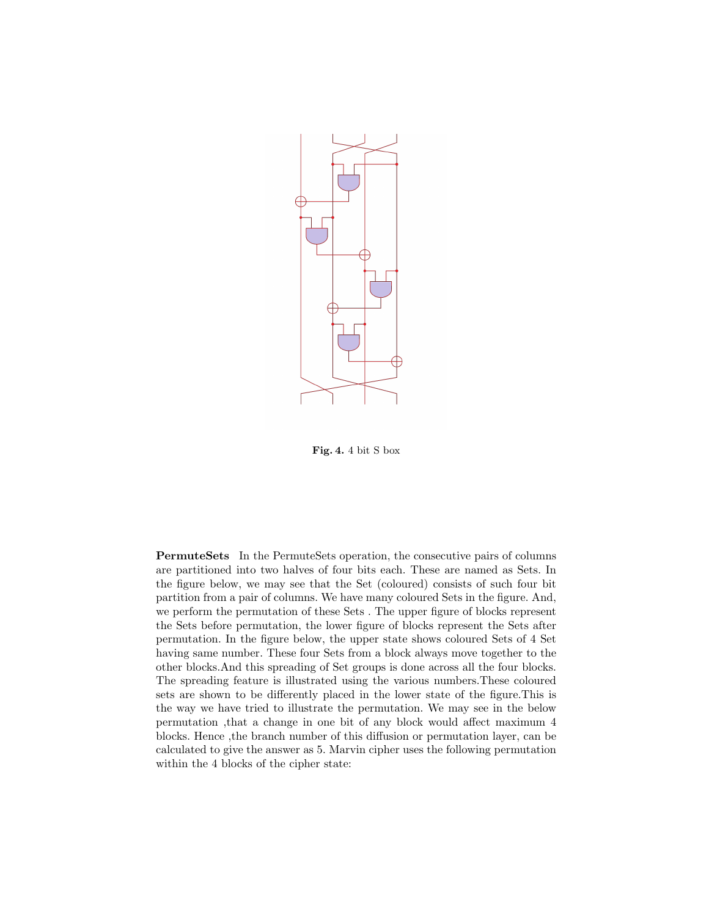

Fig. 4. 4 bit S box

PermuteSets In the PermuteSets operation, the consecutive pairs of columns are partitioned into two halves of four bits each. These are named as Sets. In the figure below, we may see that the Set (coloured) consists of such four bit partition from a pair of columns. We have many coloured Sets in the figure. And, we perform the permutation of these Sets . The upper figure of blocks represent the Sets before permutation, the lower figure of blocks represent the Sets after permutation. In the figure below, the upper state shows coloured Sets of 4 Set having same number. These four Sets from a block always move together to the other blocks.And this spreading of Set groups is done across all the four blocks. The spreading feature is illustrated using the various numbers.These coloured sets are shown to be differently placed in the lower state of the figure.This is the way we have tried to illustrate the permutation. We may see in the below permutation ,that a change in one bit of any block would affect maximum 4 blocks. Hence ,the branch number of this diffusion or permutation layer, can be calculated to give the answer as 5. Marvin cipher uses the following permutation within the 4 blocks of the cipher state: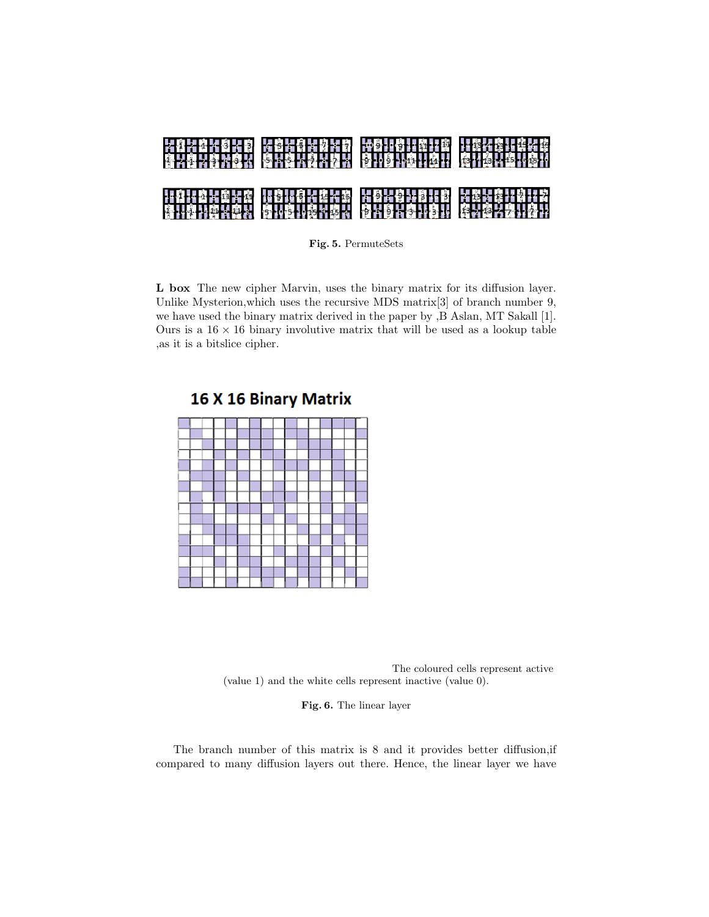

Fig. 5. PermuteSets

L box The new cipher Marvin, uses the binary matrix for its diffusion layer. Unlike Mysterion,which uses the recursive MDS matrix[3] of branch number 9, we have used the binary matrix derived in the paper by ,B Aslan, MT Sakall [1]. Ours is a  $16 \times 16$  binary involutive matrix that will be used as a lookup table ,as it is a bitslice cipher.



# 16 X 16 Binary Matrix

The coloured cells represent active (value 1) and the white cells represent inactive (value 0).

Fig. 6. The linear layer

The branch number of this matrix is 8 and it provides better diffusion,if compared to many diffusion layers out there. Hence, the linear layer we have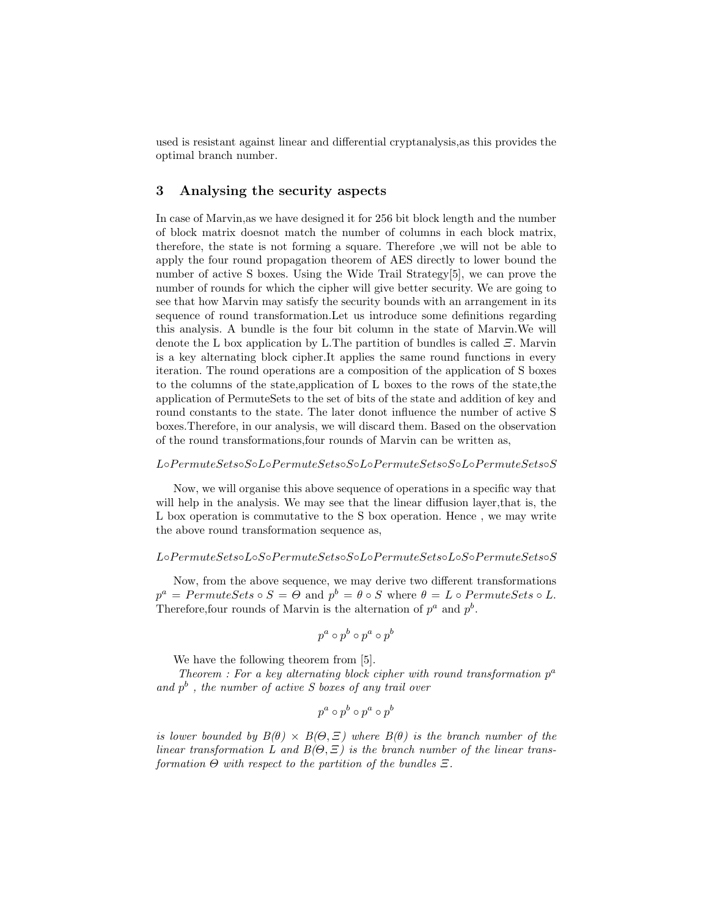used is resistant against linear and differential cryptanalysis,as this provides the optimal branch number.

# 3 Analysing the security aspects

In case of Marvin,as we have designed it for 256 bit block length and the number of block matrix doesnot match the number of columns in each block matrix, therefore, the state is not forming a square. Therefore ,we will not be able to apply the four round propagation theorem of AES directly to lower bound the number of active S boxes. Using the Wide Trail Strategy[5], we can prove the number of rounds for which the cipher will give better security. We are going to see that how Marvin may satisfy the security bounds with an arrangement in its sequence of round transformation.Let us introduce some definitions regarding this analysis. A bundle is the four bit column in the state of Marvin.We will denote the L box application by L.The partition of bundles is called  $\Xi$ . Marvin is a key alternating block cipher.It applies the same round functions in every iteration. The round operations are a composition of the application of S boxes to the columns of the state,application of L boxes to the rows of the state,the application of PermuteSets to the set of bits of the state and addition of key and round constants to the state. The later donot influence the number of active S boxes.Therefore, in our analysis, we will discard them. Based on the observation of the round transformations,four rounds of Marvin can be written as,

#### L∘PermuteSets∘S∘L∘PermuteSets∘S∘L∘PermuteSets∘S∘L∘PermuteSets∘S

Now, we will organise this above sequence of operations in a specific way that will help in the analysis. We may see that the linear diffusion layer,that is, the L box operation is commutative to the S box operation. Hence , we may write the above round transformation sequence as,

### L∘PermuteSets∘L∘S∘PermuteSets∘S∘L∘PermuteSets∘L∘S∘PermuteSets∘S

Now, from the above sequence, we may derive two different transformations  $p^a = PermuteSets \circ S = \Theta$  and  $p^b = \theta \circ S$  where  $\theta = L \circ PermuteSets \circ L$ . Therefore, four rounds of Marvin is the alternation of  $p^a$  and  $p^b$ .

$$
p^a \circ p^b \circ p^a \circ p^b
$$

We have the following theorem from [5].

Theorem : For a key alternating block cipher with round transformation  $p^a$ and  $p^b$ , the number of active S boxes of any trail over

$$
p^a \circ p^b \circ p^a \circ p^b
$$

is lower bounded by  $B(\theta) \times B(\Theta, \Xi)$  where  $B(\theta)$  is the branch number of the linear transformation L and  $B(\Theta, \Xi)$  is the branch number of the linear transformation  $\Theta$  with respect to the partition of the bundles  $\Xi$ .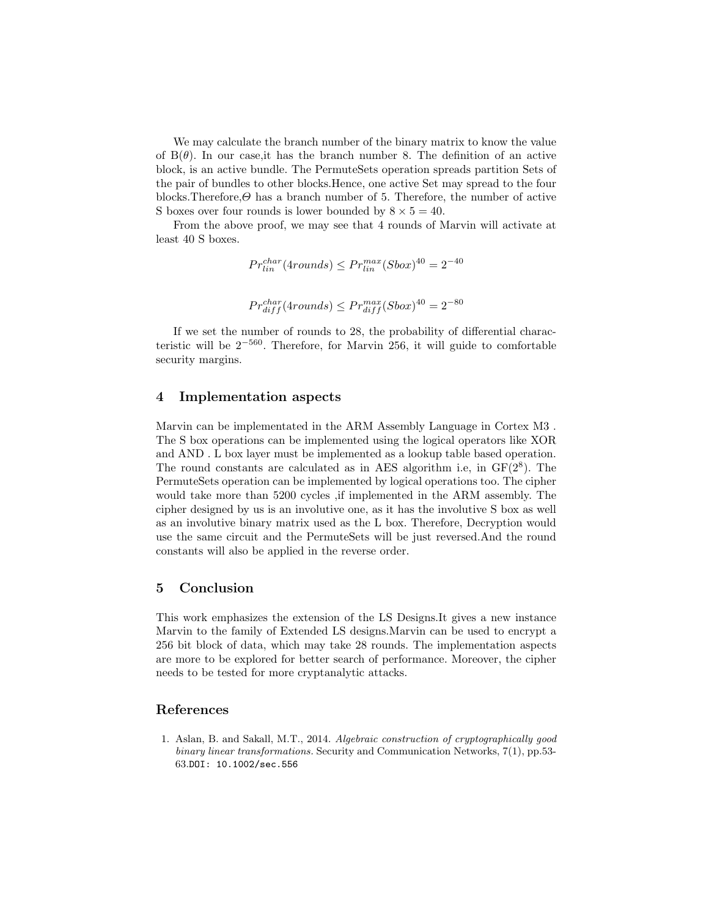We may calculate the branch number of the binary matrix to know the value of  $B(\theta)$ . In our case, it has the branch number 8. The definition of an active block, is an active bundle. The PermuteSets operation spreads partition Sets of the pair of bundles to other blocks.Hence, one active Set may spread to the four blocks. Therefore, $\Theta$  has a branch number of 5. Therefore, the number of active S boxes over four rounds is lower bounded by  $8 \times 5 = 40$ .

From the above proof, we may see that 4 rounds of Marvin will activate at least 40 S boxes.

$$
Pr_{lin}^{char}(4rounds) \le Pr_{lin}^{max}(Sbox)^{40} = 2^{-40}
$$
  

$$
Pr_{diff}^{char}(4rounds) \le Pr_{diff}^{max}(Sbox)^{40} = 2^{-80}
$$

If we set the number of rounds to 28, the probability of differential characteristic will be  $2^{-560}$ . Therefore, for Marvin 256, it will guide to comfortable security margins.

### 4 Implementation aspects

Marvin can be implementated in the ARM Assembly Language in Cortex M3 . The S box operations can be implemented using the logical operators like XOR and AND . L box layer must be implemented as a lookup table based operation. The round constants are calculated as in AES algorithm i.e, in  $GF(2<sup>8</sup>)$ . The PermuteSets operation can be implemented by logical operations too. The cipher would take more than 5200 cycles ,if implemented in the ARM assembly. The cipher designed by us is an involutive one, as it has the involutive S box as well as an involutive binary matrix used as the L box. Therefore, Decryption would use the same circuit and the PermuteSets will be just reversed.And the round constants will also be applied in the reverse order.

## 5 Conclusion

This work emphasizes the extension of the LS Designs.It gives a new instance Marvin to the family of Extended LS designs.Marvin can be used to encrypt a 256 bit block of data, which may take 28 rounds. The implementation aspects are more to be explored for better search of performance. Moreover, the cipher needs to be tested for more cryptanalytic attacks.

## References

1. Aslan, B. and Sakall, M.T., 2014. Algebraic construction of cryptographically good binary linear transformations. Security and Communication Networks, 7(1), pp.53- 63.DOI: 10.1002/sec.556